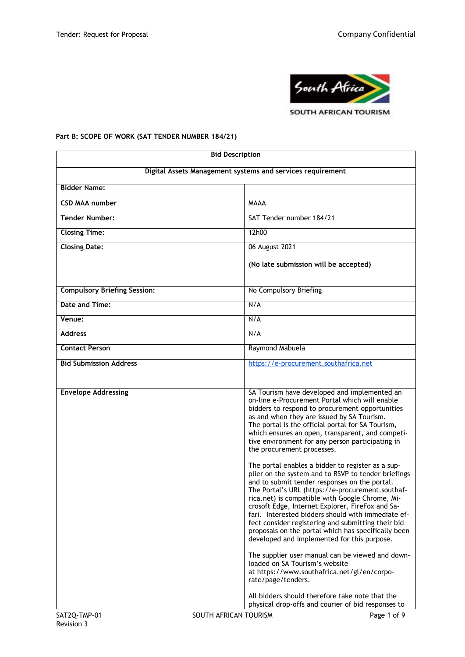

# **Part B: SCOPE OF WORK (SAT TENDER NUMBER 184/21)**

| <b>Bid Description</b>                                     |                                                      |                                                                                                                                                                                                                                                                                                                                                                                                                                                                                                                                        |  |
|------------------------------------------------------------|------------------------------------------------------|----------------------------------------------------------------------------------------------------------------------------------------------------------------------------------------------------------------------------------------------------------------------------------------------------------------------------------------------------------------------------------------------------------------------------------------------------------------------------------------------------------------------------------------|--|
| Digital Assets Management systems and services requirement |                                                      |                                                                                                                                                                                                                                                                                                                                                                                                                                                                                                                                        |  |
| <b>Bidder Name:</b>                                        |                                                      |                                                                                                                                                                                                                                                                                                                                                                                                                                                                                                                                        |  |
| <b>CSD MAA number</b>                                      | <b>MAAA</b>                                          |                                                                                                                                                                                                                                                                                                                                                                                                                                                                                                                                        |  |
| <b>Tender Number:</b>                                      | SAT Tender number 184/21                             |                                                                                                                                                                                                                                                                                                                                                                                                                                                                                                                                        |  |
| <b>Closing Time:</b>                                       | 12h00                                                |                                                                                                                                                                                                                                                                                                                                                                                                                                                                                                                                        |  |
| <b>Closing Date:</b>                                       | 06 August 2021                                       |                                                                                                                                                                                                                                                                                                                                                                                                                                                                                                                                        |  |
|                                                            | (No late submission will be accepted)                |                                                                                                                                                                                                                                                                                                                                                                                                                                                                                                                                        |  |
| <b>Compulsory Briefing Session:</b>                        | No Compulsory Briefing                               |                                                                                                                                                                                                                                                                                                                                                                                                                                                                                                                                        |  |
| Date and Time:                                             | N/A                                                  |                                                                                                                                                                                                                                                                                                                                                                                                                                                                                                                                        |  |
| Venue:                                                     | N/A                                                  |                                                                                                                                                                                                                                                                                                                                                                                                                                                                                                                                        |  |
| <b>Address</b>                                             | N/A                                                  |                                                                                                                                                                                                                                                                                                                                                                                                                                                                                                                                        |  |
| <b>Contact Person</b>                                      | Raymond Mabuela                                      |                                                                                                                                                                                                                                                                                                                                                                                                                                                                                                                                        |  |
| <b>Bid Submission Address</b>                              |                                                      | https://e-procurement.southafrica.net                                                                                                                                                                                                                                                                                                                                                                                                                                                                                                  |  |
|                                                            |                                                      |                                                                                                                                                                                                                                                                                                                                                                                                                                                                                                                                        |  |
| <b>Envelope Addressing</b>                                 | the procurement processes.                           | SA Tourism have developed and implemented an<br>on-line e-Procurement Portal which will enable<br>bidders to respond to procurement opportunities<br>as and when they are issued by SA Tourism.<br>The portal is the official portal for SA Tourism,<br>which ensures an open, transparent, and competi-<br>tive environment for any person participating in                                                                                                                                                                           |  |
|                                                            |                                                      | The portal enables a bidder to register as a sup-<br>plier on the system and to RSVP to tender briefings<br>and to submit tender responses on the portal.<br>The Portal's URL (https://e-procurement.southaf-<br>rica.net) is compatible with Google Chrome, Mi-<br>crosoft Edge, Internet Explorer, FireFox and Sa-<br>fari. Interested bidders should with immediate ef-<br>fect consider registering and submitting their bid<br>proposals on the portal which has specifically been<br>developed and implemented for this purpose. |  |
|                                                            | loaded on SA Tourism's website<br>rate/page/tenders. | The supplier user manual can be viewed and down-<br>at https://www.southafrica.net/gl/en/corpo-                                                                                                                                                                                                                                                                                                                                                                                                                                        |  |
|                                                            |                                                      | All bidders should therefore take note that the<br>physical drop-offs and courier of bid responses to                                                                                                                                                                                                                                                                                                                                                                                                                                  |  |
| SAT2Q-TMP-01                                               | SOUTH AFRICAN TOURISM                                | Page 1 of 9                                                                                                                                                                                                                                                                                                                                                                                                                                                                                                                            |  |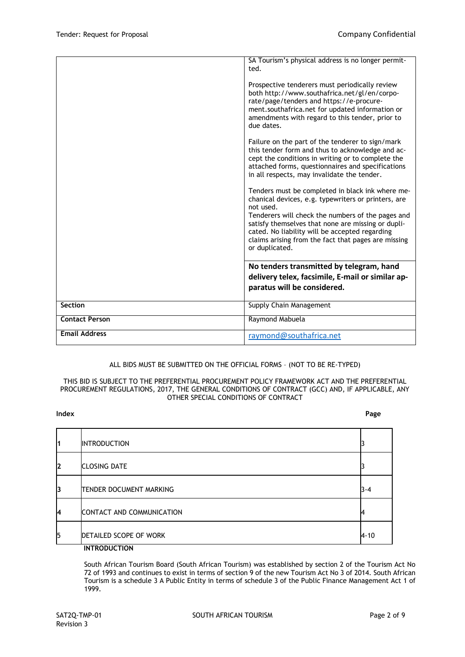|                       | SA Tourism's physical address is no longer permit-<br>ted.<br>Prospective tenderers must periodically review<br>both http://www.southafrica.net/gl/en/corpo-                                                                                                                                                                                               |
|-----------------------|------------------------------------------------------------------------------------------------------------------------------------------------------------------------------------------------------------------------------------------------------------------------------------------------------------------------------------------------------------|
|                       | rate/page/tenders and https://e-procure-<br>ment.southafrica.net for updated information or<br>amendments with regard to this tender, prior to<br>due dates.                                                                                                                                                                                               |
|                       | Failure on the part of the tenderer to sign/mark<br>this tender form and thus to acknowledge and ac-<br>cept the conditions in writing or to complete the<br>attached forms, questionnaires and specifications<br>in all respects, may invalidate the tender.                                                                                              |
|                       | Tenders must be completed in black ink where me-<br>chanical devices, e.g. typewriters or printers, are<br>not used.<br>Tenderers will check the numbers of the pages and<br>satisfy themselves that none are missing or dupli-<br>cated. No liability will be accepted regarding<br>claims arising from the fact that pages are missing<br>or duplicated. |
|                       | No tenders transmitted by telegram, hand                                                                                                                                                                                                                                                                                                                   |
|                       | delivery telex, facsimile, E-mail or similar ap-<br>paratus will be considered.                                                                                                                                                                                                                                                                            |
| Section               | Supply Chain Management                                                                                                                                                                                                                                                                                                                                    |
| <b>Contact Person</b> | Raymond Mabuela                                                                                                                                                                                                                                                                                                                                            |
| <b>Email Address</b>  | raymond@southafrica.net                                                                                                                                                                                                                                                                                                                                    |

# ALL BIDS MUST BE SUBMITTED ON THE OFFICIAL FORMS – (NOT TO BE RE-TYPED)

#### THIS BID IS SUBJECT TO THE PREFERENTIAL PROCUREMENT POLICY FRAMEWORK ACT AND THE PREFERENTIAL PROCUREMENT REGULATIONS, 2017, THE GENERAL CONDITIONS OF CONTRACT (GCC) AND, IF APPLICABLE, ANY OTHER SPECIAL CONDITIONS OF CONTRACT

#### **Index Page**

| 1            | <b>INTRODUCTION</b>       |          |
|--------------|---------------------------|----------|
| $\mathbf{2}$ | <b>CLOSING DATE</b>       |          |
| 3            | TENDER DOCUMENT MARKING   | $3 - 4$  |
| 4            | CONTACT AND COMMUNICATION |          |
| 5            | DETAILED SCOPE OF WORK    | $4 - 10$ |
|              | <b>INTRODUCTION</b>       |          |

# South African Tourism Board (South African Tourism) was established by section 2 of the Tourism Act No

72 of 1993 and continues to exist in terms of section 9 of the new Tourism Act No 3 of 2014. South African Tourism is a schedule 3 A Public Entity in terms of schedule 3 of the Public Finance Management Act 1 of 1999.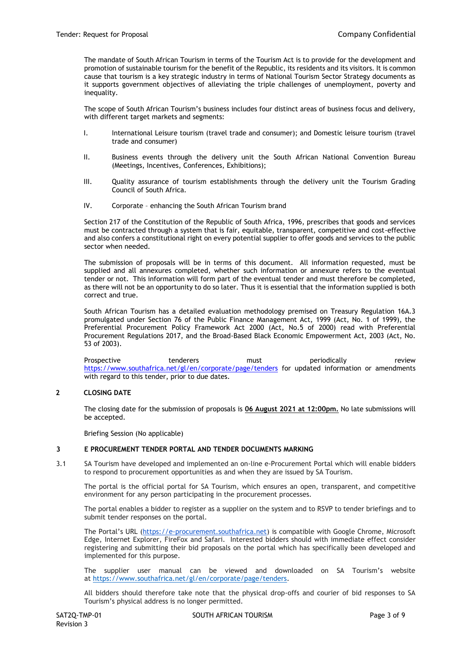The mandate of South African Tourism in terms of the Tourism Act is to provide for the development and promotion of sustainable tourism for the benefit of the Republic, its residents and its visitors. It is common cause that tourism is a key strategic industry in terms of National Tourism Sector Strategy documents as it supports government objectives of alleviating the triple challenges of unemployment, poverty and inequality.

The scope of South African Tourism's business includes four distinct areas of business focus and delivery, with different target markets and segments:

- I. International Leisure tourism (travel trade and consumer); and Domestic leisure tourism (travel trade and consumer)
- II. Business events through the delivery unit the South African National Convention Bureau (Meetings, Incentives, Conferences, Exhibitions);
- III. Quality assurance of tourism establishments through the delivery unit the Tourism Grading Council of South Africa.
- IV. Corporate enhancing the South African Tourism brand

Section 217 of the Constitution of the Republic of South Africa, 1996, prescribes that goods and services must be contracted through a system that is fair, equitable, transparent, competitive and cost-effective and also confers a constitutional right on every potential supplier to offer goods and services to the public sector when needed.

The submission of proposals will be in terms of this document. All information requested, must be supplied and all annexures completed, whether such information or annexure refers to the eventual tender or not. This information will form part of the eventual tender and must therefore be completed, as there will not be an opportunity to do so later. Thus it is essential that the information supplied is both correct and true.

South African Tourism has a detailed evaluation methodology premised on Treasury Regulation 16A.3 promulgated under Section 76 of the Public Finance Management Act, 1999 (Act, No. 1 of 1999), the Preferential Procurement Policy Framework Act 2000 (Act, No.5 of 2000) read with Preferential Procurement Regulations 2017, and the Broad-Based Black Economic Empowerment Act, 2003 (Act, No. 53 of 2003).

Prospective **tenderers** must periodically review <https://www.southafrica.net/gl/en/corporate/page/tenders> [f](https://www.southafrica.net/gl/en/corporate/page/tenders)or updated information or amendments with regard to this tender, prior to due dates.

# **2 CLOSING DATE**

The closing date for the submission of proposals is **06 August 2021 at 12:00pm.** No late submissions will be accepted.

Briefing Session (No applicable)

#### **3 E PROCUREMENT TENDER PORTAL AND TENDER DOCUMENTS MARKING**

3.1 SA Tourism have developed and implemented an on-line e-Procurement Portal which will enable bidders to respond to procurement opportunities as and when they are issued by SA Tourism.

The portal is the official portal for SA Tourism, which ensures an open, transparent, and competitive environment for any person participating in the procurement processes.

The portal enables a bidder to register as a supplier on the system and to RSVP to tender briefings and to submit tender responses on the portal.

The Portal's URL [\(https://e-procurement.southafrica.net\)](https://e-procurement.southafrica.net/) is compatible with Google Chrome, Microsoft Edge, Internet Explorer, FireFox and Safari. Interested bidders should with immediate effect consider registering and submitting their bid proposals on the portal which has specifically been developed and implemented for this purpose.

The supplier user manual can be viewed and downloaded on SA Tourism's website at [https://www.southafrica.net/gl/en/corporate/page/tenders.](https://www.southafrica.net/gl/en/corporate/page/tenders)

All bidders should therefore take note that the physical drop-offs and courier of bid responses to SA Tourism's physical address is no longer permitted.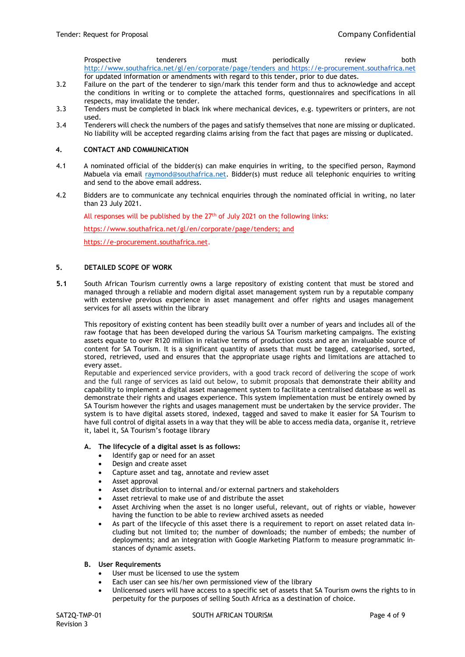Prospective tenderers must periodically review both <http://www.southafrica.net/gl/en/corporate/page/tenders> and [https://e-procurement.southafrica.net](https://e-procurement.southafrica.net/) for updated information or amendments with regard to this tender, prior to due dates.

- 3.2 Failure on the part of the tenderer to sign/mark this tender form and thus to acknowledge and accept the conditions in writing or to complete the attached forms, questionnaires and specifications in all respects, may invalidate the tender.
- 3.3 Tenders must be completed in black ink where mechanical devices, e.g. typewriters or printers, are not used.
- 3.4 Tenderers will check the numbers of the pages and satisfy themselves that none are missing or duplicated. No liability will be accepted regarding claims arising from the fact that pages are missing or duplicated.

#### **4. CONTACT AND COMMUNICATION**

- 4.1 A nominated official of the bidder(s) can make enquiries in writing, to the specified person, Raymond Mabuela via email [raymond@southafrica.net.](mailto:raymond@southafrica.net) Bidder(s) must reduce all telephonic enquiries to writing and send to the above email address.
- 4.2 Bidders are to communicate any technical enquiries through the nominated official in writing, no later than 23 July 2021.

All responses will be published by the  $27<sup>th</sup>$  of July 2021 on the following links:

[https://www.southafrica.net/gl/en/corporate/page/tenders;](https://www.southafrica.net/gl/en/corporate/page/tenders) and

[https://e-procurement.southafrica.net.](https://e-procurement.southafrica.net/)

#### **5. DETAILED SCOPE OF WORK**

**5.1** South African Tourism currently owns a large repository of existing content that must be stored and managed through a reliable and modern digital asset management system run by a reputable company with extensive previous experience in asset management and offer rights and usages management services for all assets within the library

This repository of existing content has been steadily built over a number of years and includes all of the raw footage that has been developed during the various SA Tourism marketing campaigns. The existing assets equate to over R120 million in relative terms of production costs and are an invaluable source of content for SA Tourism. It is a significant quantity of assets that must be tagged, categorised, sorted, stored, retrieved, used and ensures that the appropriate usage rights and limitations are attached to every asset.

Reputable and experienced service providers, with a good track record of delivering the scope of work and the full range of services as laid out below, to submit proposals that demonstrate their ability and capability to implement a digital asset management system to facilitate a centralised database as well as demonstrate their rights and usages experience. This system implementation must be entirely owned by SA Tourism however the rights and usages management must be undertaken by the service provider. The system is to have digital assets stored, indexed, tagged and saved to make it easier for SA Tourism to have full control of digital assets in a way that they will be able to access media data, organise it, retrieve it, label it, SA Tourism's footage library

#### **A. The lifecycle of a digital asset is as follows:**

- Identify gap or need for an asset
- Design and create asset
- Capture asset and tag, annotate and review asset
- Asset approval
- Asset distribution to internal and/or external partners and stakeholders
- Asset retrieval to make use of and distribute the asset
- Asset Archiving when the asset is no longer useful, relevant, out of rights or viable, however having the function to be able to review archived assets as needed
- As part of the lifecycle of this asset there is a requirement to report on asset related data including but not limited to; the number of downloads; the number of embeds; the number of deployments; and an integration with Google Marketing Platform to measure programmatic instances of dynamic assets.

# **B. User Requirements**

- User must be licensed to use the system
- Each user can see his/her own permissioned view of the library
- Unlicensed users will have access to a specific set of assets that SA Tourism owns the rights to in perpetuity for the purposes of selling South Africa as a destination of choice.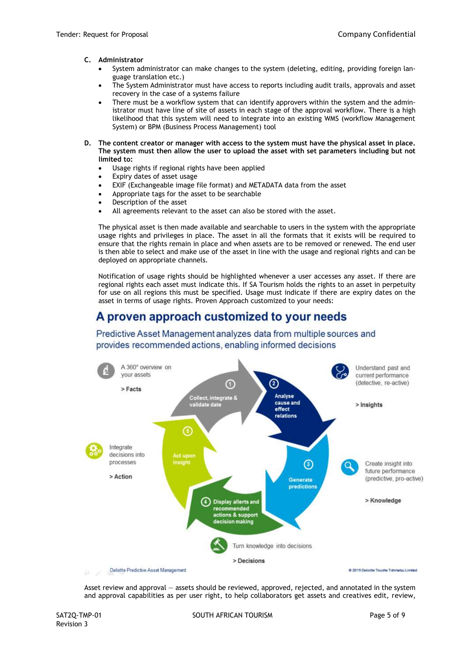# **C. Administrator**

- System administrator can make changes to the system (deleting, editing, providing foreign language translation etc.)
- The System Administrator must have access to reports including audit trails, approvals and asset recovery in the case of a systems failure
- There must be a workflow system that can identify approvers within the system and the administrator must have line of site of assets in each stage of the approval workflow. There is a high likelihood that this system will need to integrate into an existing WMS (workflow Management System) or BPM (Business Process Management) tool
- **D. The content creator or manager with access to the system must have the physical asset in place. The system must then allow the user to upload the asset with set parameters including but not limited to:**
	- Usage rights if regional rights have been applied
	- Expiry dates of asset usage
	- EXIF (Exchangeable image file format) and METADATA data from the asset
	- Appropriate tags for the asset to be searchable
	- Description of the asset
	- All agreements relevant to the asset can also be stored with the asset.

The physical asset is then made available and searchable to users in the system with the appropriate usage rights and privileges in place. The asset in all the formats that it exists will be required to ensure that the rights remain in place and when assets are to be removed or renewed. The end user is then able to select and make use of the asset in line with the usage and regional rights and can be deployed on appropriate channels.

Notification of usage rights should be highlighted whenever a user accesses any asset. If there are regional rights each asset must indicate this. If SA Tourism holds the rights to an asset in perpetuity for use on all regions this must be specified. Usage must indicate if there are expiry dates on the asset in terms of usage rights. Proven Approach customized to your needs:

# A proven approach customized to your needs

Predictive Asset Management analyzes data from multiple sources and provides recommended actions, enabling informed decisions



Asset review and approval — assets should be reviewed, approved, rejected, and annotated in the system and approval capabilities as per user right, to help collaborators get assets and creatives edit, review,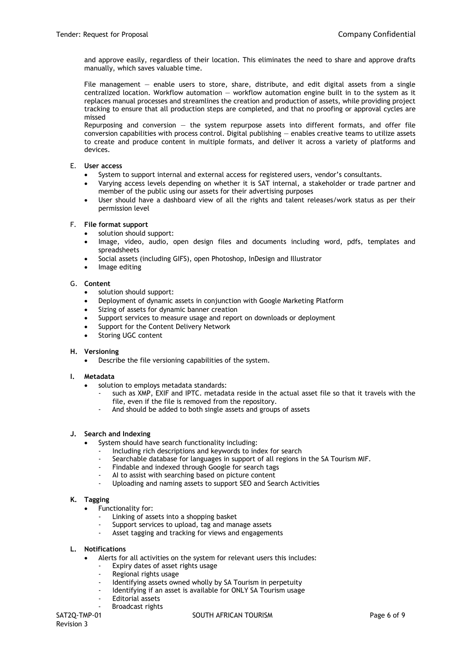and approve easily, regardless of their location. This eliminates the need to share and approve drafts manually, which saves valuable time.

File management — enable users to store, share, distribute, and edit digital assets from a single centralized location. Workflow automation — workflow automation engine built in to the system as it replaces manual processes and streamlines the creation and production of assets, while providing project tracking to ensure that all production steps are completed, and that no proofing or approval cycles are missed

Repurposing and conversion  $-$  the system repurpose assets into different formats, and offer file conversion capabilities with process control. Digital publishing — enables creative teams to utilize assets to create and produce content in multiple formats, and deliver it across a variety of platforms and devices.

### E. **User access**

- System to support internal and external access for registered users, vendor's consultants.
- Varying access levels depending on whether it is SAT internal, a stakeholder or trade partner and member of the public using our assets for their advertising purposes
- User should have a dashboard view of all the rights and talent releases/work status as per their permission level

#### F. **File format support**

- solution should support:
- Image, video, audio, open design files and documents including word, pdfs, templates and spreadsheets
- Social assets (including GIFS), open Photoshop, InDesign and Illustrator
- Image editing

#### G. **Content**

- solution should support:
- Deployment of dynamic assets in conjunction with Google Marketing Platform
- Sizing of assets for dynamic banner creation
- Support services to measure usage and report on downloads or deployment
- Support for the Content Delivery Network
- Storing UGC content

# **H. Versioning**

Describe the file versioning capabilities of the system.

#### **I. Metadata**

- solution to employs metadata standards:
	- such as XMP, EXIF and IPTC. metadata reside in the actual asset file so that it travels with the file, even if the file is removed from the repository.
	- And should be added to both single assets and groups of assets

# **J. Search and Indexing**

- System should have search functionality including:
	- Including rich descriptions and keywords to index for search
	- Searchable database for languages in support of all regions in the SA Tourism MIF.
	- Findable and indexed through Google for search tags
	- AI to assist with searching based on picture content
	- Uploading and naming assets to support SEO and Search Activities

#### **K. Tagging**

- Functionality for:
	- Linking of assets into a shopping basket
	- Support services to upload, tag and manage assets
	- Asset tagging and tracking for views and engagements

#### **L. Notifications**

- Alerts for all activities on the system for relevant users this includes:
	- Expiry dates of asset rights usage
	- Regional rights usage
	- Identifying assets owned wholly by SA Tourism in perpetuity
	- Identifying if an asset is available for ONLY SA Tourism usage
	- Editorial assets
	- Broadcast rights

#### SAT2Q-TMP-01 SOUTH AFRICAN TOURISM SAT2Q-TMP-01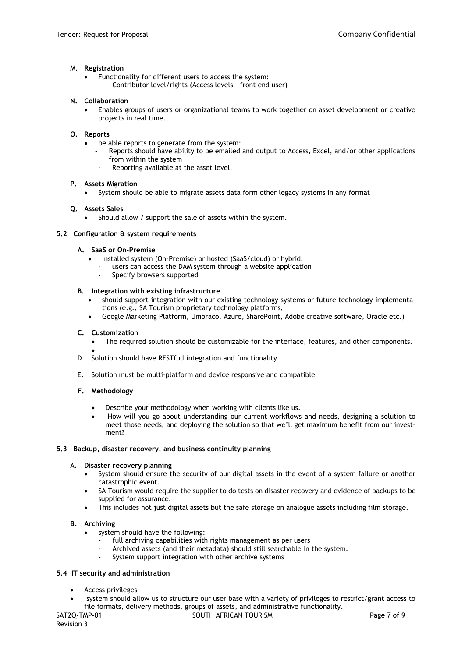#### M. **Registration**

- Functionality for different users to access the system:
	- Contributor level/rights (Access levels front end user)

#### **N. Collaboration**

 Enables groups of users or organizational teams to work together on asset development or creative projects in real time.

#### **O. Reports**

- be able reports to generate from the system:
	- Reports should have ability to be emailed and output to Access, Excel, and/or other applications from within the system
	- Reporting available at the asset level.

#### **P. Assets Migration**

System should be able to migrate assets data form other legacy systems in any format

#### **Q. Assets Sales**

Should allow / support the sale of assets within the system.

#### **5.2 Configuration & system requirements**

#### **A. SaaS or On-Premise**

- Installed system (On-Premise) or hosted (SaaS/cloud) or hybrid:
	- users can access the DAM system through a website application
	- Specify browsers supported

#### **B. Integration with existing infrastructure**

- should support integration with our existing technology systems or future technology implementations (e.g., SA Tourism proprietary technology platforms,
- Google Marketing Platform, Umbraco, Azure, SharePoint, Adobe creative software, Oracle etc.)

#### **C. Customization**

- The required solution should be customizable for the interface, features, and other components.
- $\bullet$ D. Solution should have RESTfull integration and functionality
- E. Solution must be multi-platform and device responsive and compatible

#### **F. Methodology**

- Describe your methodology when working with clients like us.
- How will you go about understanding our current workflows and needs, designing a solution to meet those needs, and deploying the solution so that we'll get maximum benefit from our investment?

#### **5.3 Backup, disaster recovery, and business continuity planning**

#### A. **Disaster recovery planning**

- System should ensure the security of our digital assets in the event of a system failure or another catastrophic event.
- SA Tourism would require the supplier to do tests on disaster recovery and evidence of backups to be supplied for assurance.
- This includes not just digital assets but the safe storage on analogue assets including film storage.

# **B. Archiving**

- system should have the following:
	- full archiving capabilities with rights management as per users
	- Archived assets (and their metadata) should still searchable in the system.
	- System support integration with other archive systems

#### **5.4 IT security and administration**

- Access privileges
- system should allow us to structure our user base with a variety of privileges to restrict/grant access to file formats, delivery methods, groups of assets, and administrative functionality.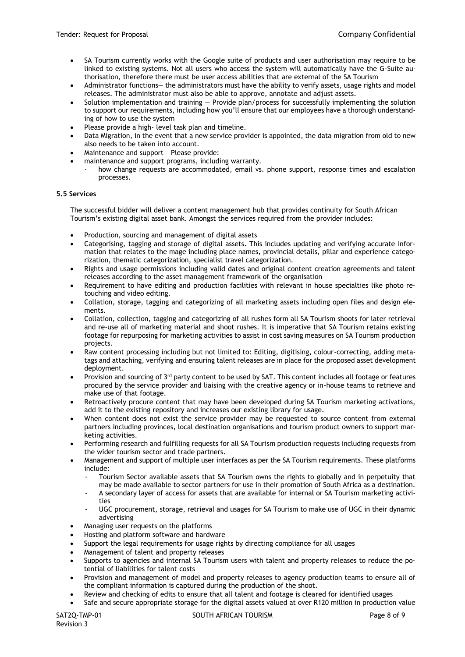- SA Tourism currently works with the Google suite of products and user authorisation may require to be linked to existing systems. Not all users who access the system will automatically have the G-Suite authorisation, therefore there must be user access abilities that are external of the SA Tourism
- Administrator functions— the administrators must have the ability to verify assets, usage rights and model releases. The administrator must also be able to approve, annotate and adjust assets.
- Solution implementation and training Provide plan/process for successfully implementing the solution to support our requirements, including how you'll ensure that our employees have a thorough understanding of how to use the system
- Please provide a high- level task plan and timeline.
- Data Migration, in the event that a new service provider is appointed, the data migration from old to new also needs to be taken into account.
- Maintenance and support— Please provide:
- maintenance and support programs, including warranty.
- how change requests are accommodated, email vs. phone support, response times and escalation processes.

# **5.5 Services**

The successful bidder will deliver a content management hub that provides continuity for South African Tourism's existing digital asset bank. Amongst the services required from the provider includes:

- Production, sourcing and management of digital assets
- Categorising, tagging and storage of digital assets. This includes updating and verifying accurate information that relates to the mage including place names, provincial details, pillar and experience categorization, thematic categorization, specialist travel categorization.
- Rights and usage permissions including valid dates and original content creation agreements and talent releases according to the asset management framework of the organisation
- Requirement to have editing and production facilities with relevant in house specialties like photo retouching and video editing.
- Collation, storage, tagging and categorizing of all marketing assets including open files and design elements.
- Collation, collection, tagging and categorizing of all rushes form all SA Tourism shoots for later retrieval and re-use all of marketing material and shoot rushes. It is imperative that SA Tourism retains existing footage for repurposing for marketing activities to assist in cost saving measures on SA Tourism production projects.
- Raw content processing including but not limited to: Editing, digitising, colour-correcting, adding metatags and attaching, verifying and ensuring talent releases are in place for the proposed asset development deployment.
- Provision and sourcing of  $3<sup>rd</sup>$  party content to be used by SAT. This content includes all footage or features procured by the service provider and liaising with the creative agency or in-house teams to retrieve and make use of that footage.
- Retroactively procure content that may have been developed during SA Tourism marketing activations, add it to the existing repository and increases our existing library for usage.
- When content does not exist the service provider may be requested to source content from external partners including provinces, local destination organisations and tourism product owners to support marketing activities.
- Performing research and fulfilling requests for all SA Tourism production requests including requests from the wider tourism sector and trade partners.
- Management and support of multiple user interfaces as per the SA Tourism requirements. These platforms include:
	- Tourism Sector available assets that SA Tourism owns the rights to globally and in perpetuity that may be made available to sector partners for use in their promotion of South Africa as a destination.
	- A secondary layer of access for assets that are available for internal or SA Tourism marketing activities
	- UGC procurement, storage, retrieval and usages for SA Tourism to make use of UGC in their dynamic advertising
- Managing user requests on the platforms
- Hosting and platform software and hardware
- Support the legal requirements for usage rights by directing compliance for all usages
- Management of talent and property releases
- Supports to agencies and internal SA Tourism users with talent and property releases to reduce the potential of liabilities for talent costs
- Provision and management of model and property releases to agency production teams to ensure all of the compliant information is captured during the production of the shoot.
- Review and checking of edits to ensure that all talent and footage is cleared for identified usages
- Safe and secure appropriate storage for the digital assets valued at over R120 million in production value